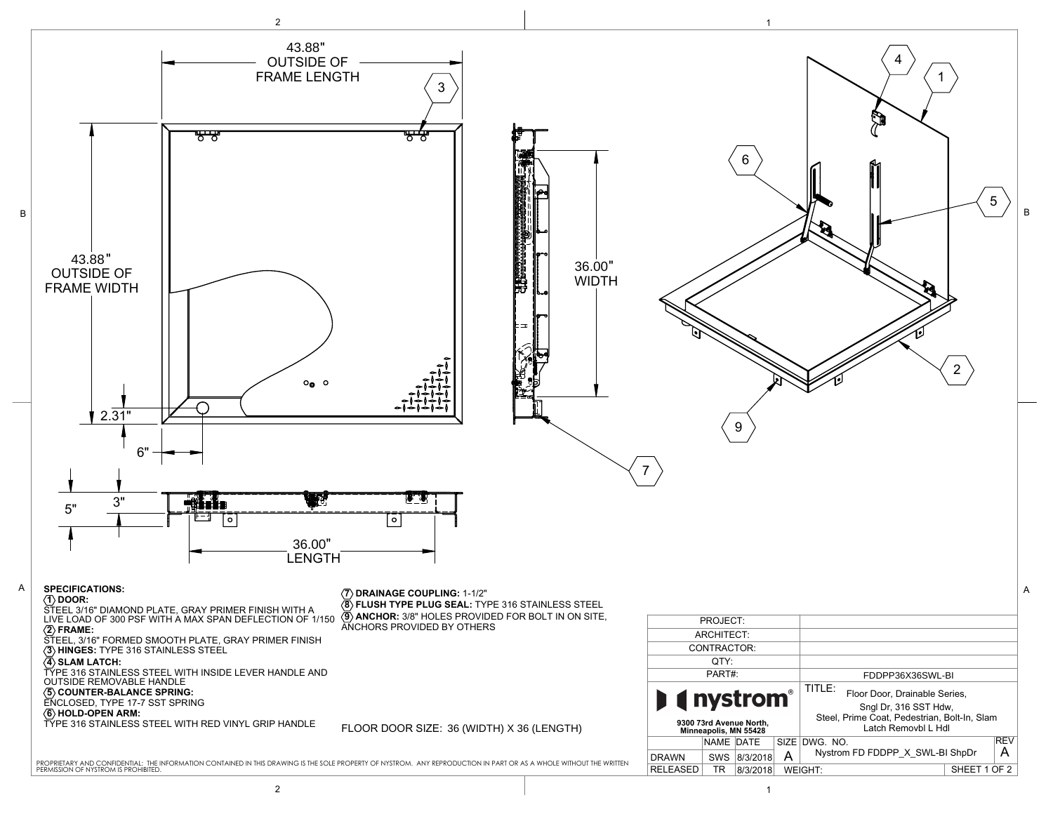

2 to the contract of the contract of  $\vert$  . The contract of the contract of the contract of the contract of the contract of the contract of the contract of the contract of the contract of the contract of the contract of t